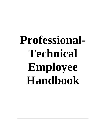# **Professional-Technical Employee Handbook**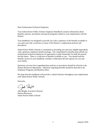Dear Professional-Technical Employee,

Your Salem-Keizer Public Schools Employee Handbook contains information about benefits, policies, procedures and special programs related to your employment with the District.

Your handbook was designed to provide you with a summary of the benefits available to you and to provide a reference to many of the District's employment policies and procedures.

Salem-Keizer Public Schools is committed to providing you and your eligible dependents with a generous employee benefit package. Our comprehensive benefits plan affords our professional-technical employees an opportunity to plan financially for both the present and the future. There is a selection of benefits available to you. You should read the benefits section of your handbook carefully to determine the best options for you and your family.

Questions you may have regarding these policies or procedures should be referred to the Human Resources department. Questions regarding benefits should be directed to the Employee Programs and Benefits office.

We hope that this handbook will provide a valued reference throughout your employment with Salem-Keizer Public Schools.

Sincerely,

John Beight

John Beight, Executive Director Human Resources Salem Keizer Public Schools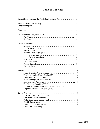## **Table of Contents**

| Exempt Employees and the Fair Labor Standards Act | 3  |
|---------------------------------------------------|----|
|                                                   | 4  |
|                                                   | 4  |
|                                                   |    |
|                                                   | 6  |
|                                                   | 6  |
|                                                   | 6  |
|                                                   | 6  |
|                                                   |    |
|                                                   | 7  |
|                                                   | 7  |
|                                                   | 7  |
|                                                   | 7  |
|                                                   | 8  |
|                                                   | 8  |
|                                                   | 8  |
|                                                   | 8  |
|                                                   | 8  |
|                                                   | 9  |
|                                                   | 9  |
|                                                   |    |
| Benefits                                          | 10 |
|                                                   | 10 |
|                                                   | 10 |
|                                                   | 10 |
|                                                   | 11 |
|                                                   | 11 |
| Tax Sheltered Annuities (TSA),                    |    |
| Deferred Compensation and U.S. Savings Bonds      | 11 |
|                                                   | 11 |
| Special Programs                                  | 12 |
|                                                   | 12 |
|                                                   | 13 |
|                                                   | 13 |
|                                                   | 14 |
|                                                   | 14 |
|                                                   | 14 |
|                                                   |    |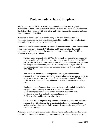# **Professional-Technical Employee**

It is the policy of the District to maintain and administer a formal salary plan for Professional-technical employees which recognizes the relative value of positions within the District when compared with each other, and which compensates an employee based upon the work of the position.

Professionl-technical employees receive many of the same benefits afforded to administrators such as life insurance, long term disability and leave days. Professionaltechnical employees do not pay association dues.

The District considers some supervisory-technical employees to be exempt from overtime based on the Fair Labor Standards Act (FLSA) and Oregon law, therefore, paid compensation will not be provided to exempt employees for overtime. The FLSA definition of exempt is as follows:

The Fair Labor Standards Act, 29 USC Section 201-219 applies to employees of the State and its political subdivisions, including school districts. (29 USC 203 (e)(2)). The FSLA establishes requirements relating to minimum wages, payment and computation of overtime, and defines working hours. Oregon law also governs minimum wages and the payment of overtime for Oregon employees. ORS 653.017.

Both the FLSA and ORS 653 exempt certain employees from overtime compensation requirements. Oregon law exempts four major categories of public employees from overtime provisions. These exemptions under ORS 653 and the FLSA are based upon job duties, minimum salaries and being paid on a salary basis.

Employees exempt from overtime compensation generally include individuals engaged in administrative, executive or professional work who:

- a) Performs predominately intellectual, managerial or creative tasks;
- b) Exercises discretion and independent judgment; and
- c) Earns a salary and is paid on a salary basis.

Under the FLSA, an employer may provide an exempt employee with additional compensation without losing the exemption in the form of a flat sum, bonus, straight hourly or time and one-half payment. It may also include paid time off. (29CFR 541.064(a)).

Please talk with your supervisor or contact Human Resources to confirm whether or not your position is exempt or non-exempt. As a supervisory-technical exempt employee,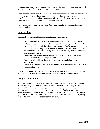you can expect your work hours per week to vary, but it will not be uncommon to work over 40 hours a week or even up to 50 hours per week.

Under extraordinary circumstances and with prior written approval from a supervisor, an employee may be granted additional compensation if they are working out of classification or on a special project not normally associated with their regular job duties. These are determined in advance on a case-by-case basis.

No overtime will be paid for work over 40 hours a week for professional-technical exempt employees.

#### **Salary Plan**

The specific objectives of the salary plan include the following:

- To pay competitive salaries as part of the overall compensation and benefit package in order to attract and retain competent and well-qualified personnel.
- To compare salaries with the salaries paid by other school districts, governmental bodies, and private companies in order to maintain a salary schedule that takes into consideration the cost of living changes as reflected by current community wage and salary rates.
- To establish and maintain salary ranges for all positions, which encourages growth and movement within grade levels.
- To comply fully with provisions of all government regulations regarding compensation.
- To communicate to all employees the compensation policy and methods used to administer this policy.

Cost of living adjustments (COLA) may be reviewed on a consult and confer basis with the Executive Director of Human Resources and the District's Superintendent.

## **Longevity Stipend**

A longevity stipend has been established. A professional-technical employee would receive this longevity stipend once every three years in October of the year he/she qualifies. The stipend will be a single payment equal to the increment received by persons moving to the top of the respective salary grade. Qualified means any professional-technical employee who is repeating at the  $7<sup>th</sup>$  step of their current salary grade and has 10 or more years of continuous service with the District in a bargaining unit, professional-technical, or confidential position.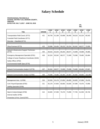# **Salary Schedule**

#### **PROFESSIONAL/TECHNICALS SCHOOL DISTRICT 24J, MARION COUNTY, OREGON EFFECTIVE JULY 1,2017 - JUNE 30, 2018**

#### **2% INC.**

| <b>Title</b>                                         | <b>GRADE</b> | <b>STEP</b><br>1 | <b>STEP</b><br>2 | <b>STEP</b><br>3 | <b>STEP</b><br>4 | <b>STEP</b><br>5 | <b>STEP</b><br>6 | <b>STEP</b><br>7 |
|------------------------------------------------------|--------------|------------------|------------------|------------------|------------------|------------------|------------------|------------------|
| Transportation Field Coord. (0772)                   | 421          | 48,749           | 51,188           | 53,698           | 56,450           | 59,215           | 62,224           | 65,342           |
| Custodial Field Coordinator (0771)                   |              |                  |                  |                  |                  |                  |                  |                  |
| Recruiter - Classified (0774)                        |              |                  |                  |                  |                  |                  |                  |                  |
|                                                      |              |                  |                  |                  |                  |                  |                  |                  |
| Shop Foreman (0773)                                  | 423          | 53,698           | 56,450           | 59,215           | 62,224           | 65,342           | 68,577           | 72,009           |
|                                                      |              |                  |                  |                  |                  |                  |                  |                  |
| Network Infrastructure Support Technician.<br>(0775) | 425          | 59,215           | 62,224           | 65,342           | 68,577           | 72,009           | 75,598           | 79,485           |
| Emergency Management Specialist (0761)               | 426          | 62,224           | 65,342           | 68,577           | 72,009           | 75,598           | 79,485           | 83,484           |
| College & Career Readiness Coordinator (0340)        |              |                  |                  |                  |                  |                  |                  |                  |
| Safety Officer (0762)                                |              |                  |                  |                  |                  |                  |                  |                  |
| Environmental Health Spec.(0776)                     |              |                  |                  |                  |                  |                  |                  |                  |
|                                                      |              |                  |                  |                  |                  |                  |                  |                  |
| Network Communication Analyst 2 (0778)               | 427          | 65,342           | 68,577           | 72,009           | 75,598           | 79,485           | 83,484           | 87,667           |
|                                                      |              |                  |                  |                  |                  |                  |                  |                  |
| Network Communication Analyst 3 (0780)               | 430          | 75,598           | 79,485           | 83,484           | 87,667           | 92,050           | 96,660           | 101,493          |
|                                                      |              |                  |                  |                  |                  |                  |                  |                  |
| Management Asst. 2 (0786)                            | 310          | 52,526           | 55,178           | 57,853           | 60,855           | 63,835           | 67,098           | 70,476           |
| Conf. Payroll Specialist (0782)                      | 311          | 55,178           | 57,853           | 60,855           | 63,835           | 67,098           | 70,476           | 73,996           |
| Staffing Specialist (0785)                           |              |                  |                  |                  |                  |                  |                  |                  |
|                                                      |              |                  |                  |                  |                  |                  |                  |                  |
| Mgmnt Analyst, Budget (0789)                         | 314          | 63,835           | 67,098           | 70,476           | 73,996           | 77,706           | 81,558           | 85,736           |
| Internal Auditor (0796)                              |              |                  |                  |                  |                  |                  |                  |                  |
| Prevention & Prot. Coord (0797)                      |              |                  |                  |                  |                  |                  |                  |                  |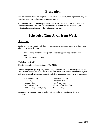# **Evaluation**

Each professional-technical employee is evaluated annually by their supervisor using the classified employee performance evaluation form(s).

A professional-technical employee who is new to the District will serve a six-month probationary period. The employee's supervisor is responsible for conducting an evaluation following the end of the probationary period.

# **Scheduled Time Away from Work**

#### **Flex Time**

Employees should consult with their supervisors prior to making changes in their work schedules or using flex time.

- Prior to using flex time, arrangements must be approved by the respective supervisor.
- Flex time is not accruable.

#### **Holidays – Paid**

(District Code of Policies and Rules: HUM-M006)

The following holidays are paid provided the professional-technical employee is on the active payroll and works on the last regular District workday prior to and the first regular District workday after the occurrence of the holiday, or are on a paid leave on such days.

Independence Day Christmas Eve Day Labor Day Christmas Day Veterans' Day New Year's Day Thanksgiving Day Martin Luther King Day Day following Thanksgiving Memorial Day

Holiday pay is prorated based on daily work schedules for less than eight-hour employees.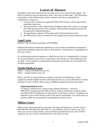# **Leaves of Absence**

Immediate supervisors should always be made aware of any type of leave request. All leaves of absences must be approved at least 3 days prior to leave date. The following is a description of the different type of leave requests, and who is responsible for consideration of approval.

- 1. Vacation time, outside of an approved FMLA/OFLA leave, will be approved by immediate supervisor
- 2. All personal leave will be approved by immediate supervisor, unless it is during a date when personal leave is not available. Personal leave during this period will be approved by Human Resources
- 3. All unpaid leave requests will be approved by Human Resources only.
- 4. All FMLA/OFLA leaves of absences will be approved by Human Resources only.

#### **Legal Leave**

(District Code of Policies and Rules: HUM-M006)

Professional-technical employees appearing in court on their own behalf are required to notify their immediate supervisor prior to such absence. Personal leave is appropriate for this type of leave.

If a professional-technical employee is called for jury duty or is subpoenaed as a witness for a reason related to work or for a reason that is not personal, no salary deduction will be made. If the employee is subpoenaed for personal reasons then use of personal leave would be appropriate.

#### **Family/Medical Leave**

FMLA – Family and Medical Leave Act OFLA – Oregon Family Leave Act

FMLA and OFLA are provided in accordance with State and Federal law. These regulations provide eligible workers with protected leave to care for themselves or family members in cases of death, illness, injury, childbirth, adoption and foster placement.

#### **Requesting Medical Leave**

To request a medical leave, please contact Human Resources. Forms for FMLA/OFLA (application for FMLA/OFLA, medical certification, medical release and FMLA/OFLA handbook) are under QAM on the District website. Employees are required to give at least 30 days notice if the need is foreseeable, or as much notice as practical under the circumstances surrounding the need for leave.

#### **Military Leave**

Military leave will be provided in accordance with State and Federal law currently listed as ORS 408.290, ORS 659a.093, ORS 659a.171 and USERRA, 38 USC § 4301 et seq. May have up to 15 days of paid, military, leave provisions per federal fiscal year (10/1-9/30). If requested, may use vacation and personal leave only while on leave.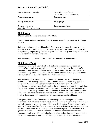## **Personal Leave Days (Paid)**

| Funeral Leave (non-family)  | Up to 8 hours per funeral         |
|-----------------------------|-----------------------------------|
|                             | [At the discretion of supervisor] |
| Personal/Emergency          | 3 days per year                   |
|                             |                                   |
| <b>Family Illness Leave</b> | 5 days per year                   |
|                             |                                   |
| <b>Bereavement Leave</b>    | 5 days per occurrence             |
| (immediate family member)   |                                   |

#### **Sick Leave**

(District Code of Policies and Rules: HUM-M006)

Twelve Month professional-technical employees earn one day per month up to 12 days per year.

Sick leave shall accumulate without limit. Sick leave will be earned and accrued on a monthly basis at rate of one (1) day per month. A professional-technical employee who was previously employed by another Oregon school district may transfer up to 75 days of unused sick leave from that employer.

Sick leave may only be used for personal illness and medical appointments.

#### **Sick Leave Bank**

The purpose of the Sick Leave Bank shall be to extend a professional-technical employee's paid sick leave days should an illness or injury exhaust the employee's accumulated sick leave and vacation leave. At initial enrollment, each professionaltechnical employee wishing to participate contributes a minimum of eight hours up to a maximum of 40 hours of their sick leave to a common bank.

New employees shall have 30 days to make a contribution. Such contributions are irrevocable. Only employees who have contributed hours to the bank may apply for hours from the bank. Participation in the bank shall be voluntary. The initial contribution is a one-time contribution unless the bank should be depleted. At such time, enough hours will be deducted from each member of the bank to bring the total back to 1,000 hours. An employee who has been a member of either the Licensed or Classified Sick Leave Banks and moves to the Professional-Technical Sick Leave Bank must reenroll in that group's bank by contributing the appropriate number of hours.

To request paid sick days from the bank, an employee must first deplete all personal accumulated sick leave and vacation leave, obtain a physician's verification that they are medically unable to work, and request Sick Leave Bank hours. Request forms may be obtained from the Benefits office. A committee composed of three members representing the administration will act in a timely manner upon the request. The committee shall grant the request if (1) District records show that the member has exhausted their accumulated sick leave, (2) the member is not eligible for lost time compensation under Workers' Compensation, under PERS eligibility, or under the District's long-term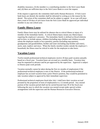disability insurance, (3) the member is a contributing member to the Sick Leave Bank and, (4) there are sufficient days in the Sick Leave Bank to cover the request.

If the request is approved, the committee shall notify Human Resources. If Sick Leave bank hours are denied, the member shall be informed in writing as to the reason for the denial. The action of the committee shall not be subject to appeal. In no case will more than a total of 50 days of sick leave from the Sick Leave Bank be approved per individual member in any one school year.

#### **Family Illness Leave**

Family illness leave may be utilized for absence due to critical illness or injury of a member of the immediate family. A critical illness/injury means any illness/injury requiring the employee's presence. The immediate family is defined as blood relations and in-laws, to include spouse, children (including step-children and children towards whom the employee stands in loco parentis), parents (including step-parents), grandparents and grandchildren, brother and sister (including step-brother and sister), uncle, aunt, nephew and niece. When the family member resides outside the employee's household, the illness must be critical in order for the employee to take leave.

## **Vacation Leave**

Twelve-month professional-technical employees receive 20 days paid vacation annually based on a fiscal year. Vacation hours are accrued on a monthly basis. Vacation time must be requested in advance and be pre-approved by the supervisor. Approval is subject to District peak work periods.

Vacation normally cannot be taken during the first six months of employment if the professional-technical employee is new to the District. If the professional-technical employee has accrued vacation from a prior District position, they would be permitted to take vacation subject to approval by their immediate supervisor.

Professional technical employees hired after July 1 shall have their vacation accrual prorated by the proportion of term of employment to a 12-month period. Any unused portion of the vacation period shall not be carried beyond June 30 of the fiscal year following the year in which the vacation was earned except under special written arrangements with the supervisor and the Human Resources Executive Director.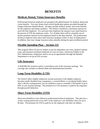# **BENEFITS**

#### **Medical, Dental, Vision Insurance Benefits**

Professional-technical employees are grouped with administrators for medical, dental and vision benefits. You may choose from several health plan options provided through the Oregon Educators Benefit Board. All plans include medical, dental, and vision benefits for the employee and family members. The District contributes a maximum amount for each full-time employee. For each part-time employee the amount is pro-rated based on the percent of FTE the employee works. For all plans there will be a monthly out-ofpocket premium expense for the employee based on the plan selected. The professionaltechnical employee must select their insurance program within 31 days of employment. In addition, they may change insurance plans annually during the open enrollment period.

#### **Flexible Spending Plan – Section 125**

This program allows for pre-tax dollars to pay for dependent care costs, medical expense costs, and insurance premiums deducted on a pre-tax basis. (American Fidelity is the FSA Administrator, employees need to set up an appointment through the Benefits Department to set up an FSA account.

#### **Life Insurance**

A \$100,000 life insurance policy is provided as part of the insurance package. The coverage also includes accidental death and dismemberment benefits

## **Long-Term Disability (LTD)**

The District offers eligible employees income protection if the eligible employee becomes totally disabled from a pregnancy, a covered illness, or accidental bodily injury. After a 90-day waiting period, you are entitled to receive a monthly LTD benefit of up to 60% of your insured earnings. The premium for LTD insurance is paid by the employee through payroll deduction.

## **Short-Term Disability (STD)**

Short term disability is also offered to professional-technical employees. This plan has a 14-day waiting period and covers 60% of the employee's pre-disability salary for up to 90 days. The premium for STD is paid for by the employee with after tax dollars.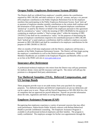### **Oregon Public Employees Retirement System (PERS)**

The District shall not withhold from employee's monthly salaries the contributions required by ORS 238.200; and shall continue to "pick up", assume, and pay a six percent (6%) employee contribution to the Public Employee Retirement Fun for the employee members then participating in the Public Employees Retirement System. Such "pick up" or payment of employee member monthly contributions to the system shall continue until the termination of this agreement. The full amount of required employee contributions "picked up" or paid by the District on behalf of the employees pursuant to this agreement shall be considered as "salary" within the meaning of ORS 238.005(8) for the purpose of computing an employee member's "final average salary" within the meaning of ORS 238.055(12) but shall not be considered as "salary" for the purposes of determining the amount of employee contributions required to be contributed pursuant to ORS 238.200. Such "picked up" or paid employee contributions shall be credited to employee accounts pursuant to ORS 238.200(2) and shall be considered to be employee contributions for the purpose of ORS 238.005 to 238.325.

After six months of full-time employment with the District, employees will become a member of the Public Employees Retirement System. The District will then begin paying the employee's contribution as well as the District/employer contribution. PERS Members Handbooks are available in the Employee Programs and Benefits office as well as on line at the PERS web site at [www.pers.state.or.us](http://www.pers.state.or.us/)

#### **Insurance after Retirement**

A professional-technical employee who retires from the District may self-pay premiums for medical, dental, vision and life insurance until age 65. The retiree will self-pay the premium to a designated third party administrator.

## **Tax Sheltered Annuities (TSA), Deferred Compensation, and US Savings Bonds**

These programs provide ways to set aside money from your paycheck for savings purposes. Tax sheltered annuities and deferred compensation are pre-tax deductions and can be a great way to save. Please call the Payroll Department at 503-399-3016 for a list of companies that are approved for payroll deduction. Payroll can provide information about the rules, regulations and limits on saving through these programs.

## **Employee Assistance Program (EAP)**

Recognizing that employees experience a variety of personal concerns that may affect work performance, Salem-Keizer Public Schools contracts with Reliant Behavioral Health to provide confidential counseling. The Employee Assistance Program is available to all professional-technical employees and their families. The program is totally confidential. The employee arranges for his/her own appointments through the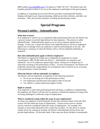RBH website [www.MyRBH.com](http://www.myrbh.com/) or by phone at 1-866-750-1327. The District pays the monthly premium so there is no cost to the employee to participate in this great program.

In addition to counseling services the EAP also provides work/family/life benefits helping with legal issues, financial planning, childcare provider selection, and elder care assistance. They also provide assistance in selling and purchasing a home.

# **Special Programs**

#### **Personal Liability – Indemnification**

#### **What does it mean?**

If an employee is sued for an act committed while performing his/her job, the District has a process in place to provide legal defense for that employee. The process is called indemnification. Indemnification means an act to secure someone against loss or damage. In this case, it means the District uses indemnification to secure its employees against loss or damage when any employee is sued for performing his or her job. The following is a summary of when the District will or will not indemnify (defend) an employee.

#### **How does indemnification apply to District employees?**

The District is required by Oregon law to indemnify its employees in certain circumstances, ORS 30.285 states the District "..shall defend, save harmless and indemnify" any of its employees against legal claims "arising out of alleged acts or omissions occurring in the performance of duty." In most circumstances, the District will indemnify and provide a legal defense for an employee who is sued for an act occurring in the performance of their job duties.

#### **When the District will not indemnify an employee.**

The District will not indemnify an employee in the following situations:

- For an act not arising out of the performance of duty.
- For malfeasance (professional misconduct) while on the job.
- For willful or wanton (malicious) neglect of duty.

#### **Right to counsel.**

If an employee is sued while performing his/her job duties, in addition to indemnifying the employee, the District will also hire an attorney to defend the employee as long as the act being challenged is within the scope of employment.

#### **What is considered acting within the scope of your employment?**

As long as an employee is performing the normal and customary duties of the job, their actions will fall within the scope of employment. Certain actions such as criminal activity cannot be considered within the scope of employment. For example, this situation is most easily illustrated with a school bus accident. If a bus driver is sued by another driver for causing an accident, the District will indemnify the bus driver and provide legal defense. On the other hand, if that same bus driver decided to intentionally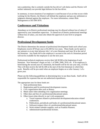ram a pedestrian, that is certainly outside the bus driver's job duties and the District will neither indemnify nor provide legal defense for the bus driver.

In summary, in most situations if an employee is sued because of an act that occurs while working for the District, the District will defend the employee and pay any settlement or judgment obtained against the employee. For more information, contact Risk Management at 503-399-3070.

#### **Conferences and Visitations**

Attendance at in-District professional meetings may be allowed without loss of salary if approved by your immediate supervisor. To attend out of District professional meetings without loss of salary, you must also obtain the approval of your level or program director.

#### **Professional Development funds**

The District determines the amount of professional development funds each school year. Employees receive \$750 per year or \$1,500 for two years. These funds can be spent in any amount or at any time between July 1 of a new biennium and June 30 at the end of the biennium. Any funds left in the employee's account at the end of a biennium period will not be available for the employee to use the next year.

Professional-technical employees receive their full \$1500 at the beginning of each biennium. New biennium's begin on July 1 of 2006, 2008, 2010, etc. If an employee is hired during the second year of a biennium, the benefit will be for one year only, or \$750. They will then receive the full \$1,500 at the start of the first biennium in which they work. Benefits will be pro-rated when an employee begins on or after January 1 of a given year.

Please use the following guidelines in determining how to use these funds. Staff will be responsible for expenses that are not authorized expenditures.

The appropriate uses for these funds are:

- 1. State professional dues.
- 2. Registration paid for professional development courses.
- 3. Civic organization dues such as Rotary.
- 4. Meals eaten when attending civic organization meetings.
- 5. Other dues and fees of a professional/educational nature.
- 6. Other (must relate directly to one's job assignment)
	- a. Travel expenses related to professional development/education related conferences.
	- b. Publications, periodicals and books of a professional/educational nature.
	- c. Software/compact discs of a professional/educational nature.
	- d. Work related calendar supplies, such as Franklin Planners.
	- e. Administrative/professional licenses.